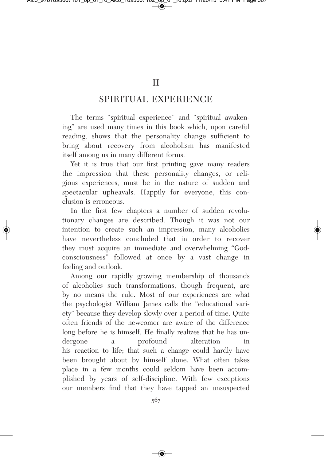## SPIRITUAL EXPERIENCE

The terms "spiritual experience" and "spiritual awakening" are used many times in this book which, upon careful reading, shows that the personality change sufficient to bring about recovery from alcoholism has manifested itself among us in many different forms.

Yet it is true that our first printing gave many readers the impression that these personality changes, or religious experiences, must be in the nature of sudden and spectacular upheavals. Happily for everyone, this conclusion is erroneous.

In the first few chapters a number of sudden revolutionary changes are described. Though it was not our intention to create such an impression, many alcoholics have nevertheless concluded that in order to recover they must acquire an immediate and overwhelming "Godconsciousness" followed at once by a vast change in feeling and outlook.

Among our rapidly growing membership of thousands of alcoholics such transformations, though frequent, are by no means the rule. Most of our experiences are what the psychologist William James calls the "educational variety" because they develop slowly over a period of time. Quite often friends of the newcomer are aware of the difference long before he is himself. He finally realizes that he has undergone a profound alteration in his reaction to life; that such a change could hardly have been brought about by himself alone. What often takes place in a few months could seldom have been accomplished by years of self-discipline. With few exceptions our members find that they have tapped an unsuspected